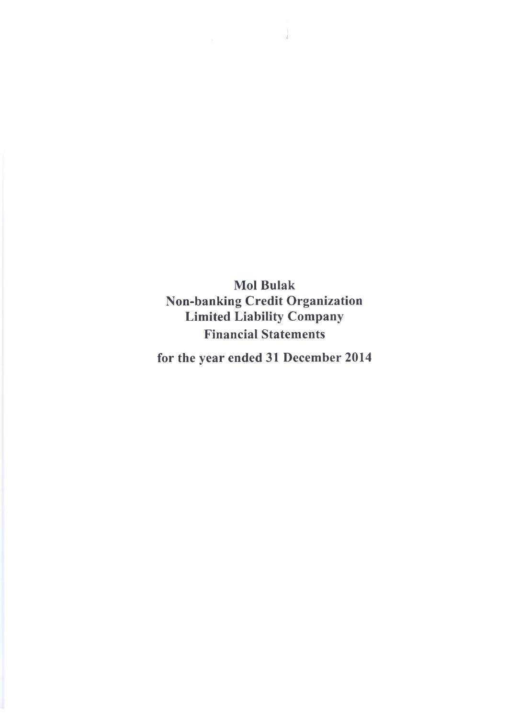**Mol Bulak Non-banking Credit Organization Limited Liability Company Financial Statements**

*4*

**for the year ended 31 December 2014**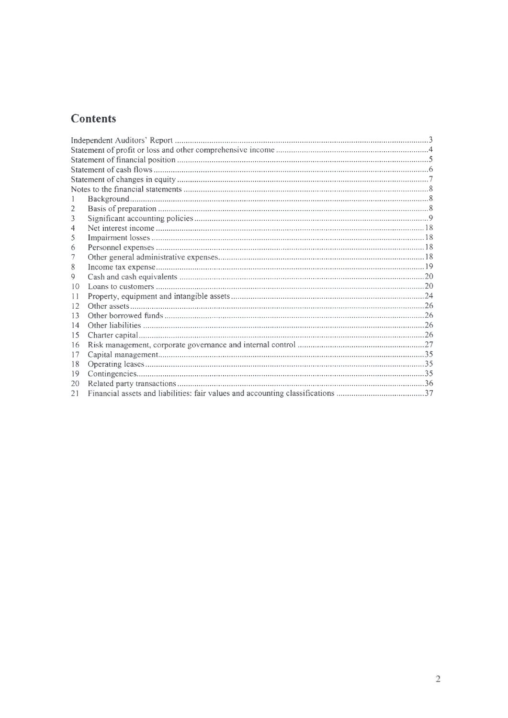# Contents

| 2  |  |
|----|--|
| 3  |  |
| 4  |  |
| 5  |  |
| 6  |  |
|    |  |
| 8  |  |
| 9  |  |
| 10 |  |
| 11 |  |
| 12 |  |
| 13 |  |
| 14 |  |
| 15 |  |
| 16 |  |
| 17 |  |
| 18 |  |
| 19 |  |
| 20 |  |
| 21 |  |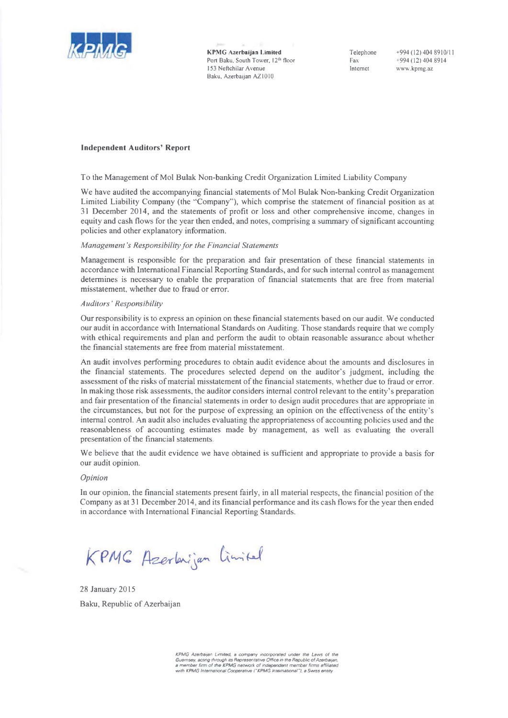

KPMG Azerbaijan Limited Port Baku, South Tower, 12<sup>th</sup> floor 153 Neftchilar Avenue Baku, Azerbaijan AZ1010

Telephone Fax Internet

+994(12)404 8910/11 +994 (12) 404 8914 www.kpmg.az

## Independent Auditors' Report

To the Management of Mol Bulak Non-banking Credit Organization Limited Liability Company

We have audited the accompanying financial statements of Mol Bulak Non-banking Credit Organization Limited Liability Company (the "Company"), which comprise the statement of financial position as at 31 December 2014, and the statements of profit or loss and other comprehensive income, changes in equity and cash flows for the year then ended, and notes, comprising a summary of significant accounting policies and other explanatory information.

#### *Management's Responsibility for the Financial Statements*

Management is responsible for the preparation and fair presentation of these financial statements in accordance with International Financial Reporting Standards, and for such internal control as management determines is necessary to enable the preparation of financial statements that are free from material misstatement, whether due to fraud or error.

## *Auditors ' Responsibility*

Our responsibility is to express an opinion on these financial statements based on our audit. We conducted our audit in accordance with International Standards on Auditing. Those standards require that we comply with ethical requirements and plan and perform the audit to obtain reasonable assurance about whether the financial statements are free from material misstatement.

An audit involves performing procedures to obtain audit evidence about the amounts and disclosures in the financial statements. The procedures selected depend on the auditor's judgment, including the assessment of the risks of material misstatement of the financial statements, whether due to fraud or error. In making those risk assessments, the auditor considers internal control relevant to the entity's preparation and fair presentation of the financial statements in order to design audit procedures that are appropriate in the circumstances, but not for the purpose of expressing an opinion on the effectiveness of the entity's internal control. An audit also includes evaluating the appropriateness of accounting policies used and the reasonableness of accounting estimates made by management, as well as evaluating the overall presentation of the financial statements.

We believe that the audit evidence we have obtained is sufficient and appropriate to provide a basis for our audit opinion.

#### *Opinion*

In our opinion, the financial statements present fairly, in all material respects, the financial position of the Company as at 31 December 2014, and its financial performance and its cash flows for the year then ended in accordance with International Financial Reporting Standards.

KPMG Azerbnijan limitel

28 January 2015 Baku, Republic of Azerbaijan

> *KPMG Azerbaijan Limited, a company incorporated under the Laws of the* .<br>Guernsey, acting through its Representative Office in the Republic of Azerbaijan,<br>a mamber firm of the KPMG network of independent member firms affiliated<br>with KPMG International Cooperative ("KPMG International"), a Swi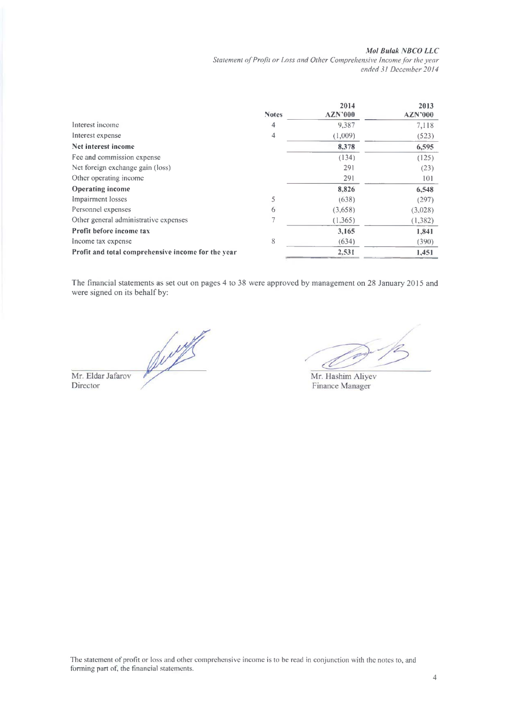## *Mol Bulak NBCO LLC*

Statement of Profit or Loss and Other Comprehensive Income for the year *ended 31 December 2014*

|                                                    |              | 2014           | 2013           |
|----------------------------------------------------|--------------|----------------|----------------|
|                                                    | <b>Notes</b> | <b>AZN'000</b> | <b>AZN'000</b> |
| Interest income                                    | 4            | 9,387          | 7,118          |
| Interest expense                                   | 4            | (1,009)        | (523)          |
| Net interest income                                |              | 8,378          | 6,595          |
| Fee and commission expense                         |              | (134)          | (125)          |
| Net foreign exchange gain (loss)                   |              | 291            | (23)           |
| Other operating income                             |              | 291            | 101            |
| <b>Operating income</b>                            |              | 8,826          | 6,548          |
| Impairment losses                                  | 5            | (638)          | (297)          |
| Personnel expenses                                 | 6            | (3,658)        | (3,028)        |
| Other general administrative expenses              |              | (1,365)        | (1, 382)       |
| Profit before income tax                           |              | 3,165          | 1,841          |
| Income tax expense                                 | 8            | (634)          | (390)          |
| Profit and total comprehensive income for the year |              | 2,531          | 1,451          |

The financial statements as set out on pages 4 to 38 were approved by management on 28 January 2015 and were signed on its behalf by:

Du of the Mr. Eldar Jafarov Director

d

Mr. Hashim Aliyev Finance Manager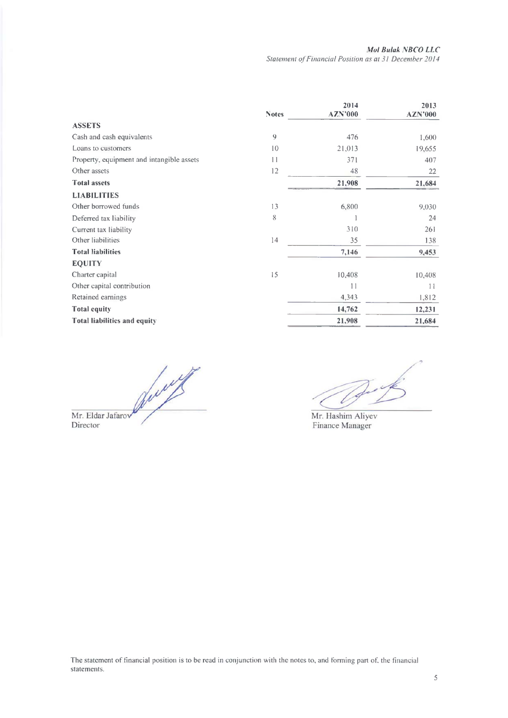|                                           | <b>Notes</b> | 2014<br><b>AZN'000</b> | 2013<br><b>AZN'000</b> |
|-------------------------------------------|--------------|------------------------|------------------------|
| <b>ASSETS</b>                             |              |                        |                        |
| Cash and cash equivalents                 | 9            | 476                    | 1,600                  |
| Loans to customers                        | 10           | 21,013                 | 19,655                 |
| Property, equipment and intangible assets | 11           | 371                    | 407                    |
| Other assets                              | 12           | 48                     | 22                     |
| <b>Total assets</b>                       |              | 21,908                 | 21,684                 |
| <b>LIABILITIES</b>                        |              |                        |                        |
| Other borrowed funds                      | 13           | 6,800                  | 9,030                  |
| Deferred tax liability                    | 8            |                        | 24                     |
| Current tax liability                     |              | 310                    | 261                    |
| Other liabilities                         | 14           | 35                     | 138                    |
| <b>Total liabilities</b>                  |              | 7,146                  | 9,453                  |
| <b>EQUITY</b>                             |              |                        |                        |
| Charter capital                           | 15           | 10,408                 | 10,408                 |
| Other capital contribution                |              | 11                     | 11                     |
| Retained earnings                         |              | 4,343                  | 1,812                  |
| <b>Total equity</b>                       |              | 14,762                 | 12,231                 |
| <b>Total liabilities and equity</b>       |              | 21,908                 | 21,684                 |

Mr. Eldar Jafarow (

1

Mr. Hashim Aliyev Finance Manager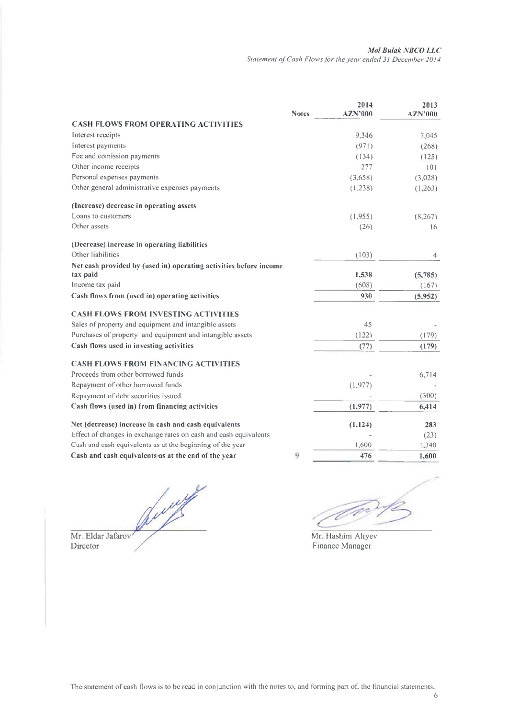|                                                                   | <b>Notes</b> | 2014<br><b>AZN'000</b> | 2013<br><b>AZN'000</b> |
|-------------------------------------------------------------------|--------------|------------------------|------------------------|
| <b>CASH FLOWS FROM OPERATING ACTIVITIES</b>                       |              |                        |                        |
| Interest receipts                                                 |              | 9.346                  | 7,045                  |
| Interest payments                                                 |              | (971)                  | (268)                  |
| Fee and comission payments                                        |              | (134)                  | (125)                  |
| Other income receipts                                             |              | 277                    | 101                    |
| Personal expenses payments                                        |              | (3,658)                | (3,028)                |
| Other general administrative expenses payments                    |              | (1,238)                | (1,263)                |
| (Increase) decrease in operating assets                           |              |                        |                        |
| Loans to customers                                                |              | (1.955)                | (8, 267)               |
| Other assets                                                      |              | (26)                   | 16                     |
| (Decrease) increase in operating liabilities                      |              |                        |                        |
| Other liabilities                                                 |              | (103)                  | 4                      |
| Net cash provided by (used in) operating activities before income |              |                        |                        |
| tax paid                                                          |              | 1,538                  | (5,785)                |
| Income tax paid                                                   |              | (608)                  | (167)                  |
| Cash flows from (used in) operating activities                    |              | 930                    | (5,952)                |
| <b>CASH FLOWS FROM INVESTING ACTIVITIES</b>                       |              |                        |                        |
| Sales of property and equipment and intangible assets             |              | 45                     |                        |
| Purchases of property and equipment and intangible assets         |              | (122)                  | (179)                  |
| Cash flows used in investing activities                           |              | (77)                   | (179)                  |
| <b>CASH FLOWS FROM FINANCING ACTIVITIES</b>                       |              |                        |                        |
| Proceeds from other borrowed funds                                |              |                        | 6,714                  |
| Repayment of other borrowed funds                                 |              | (1, 977)               |                        |
| Repayment of debt securities issued                               |              |                        | (300)                  |
| Cash flows (used in) from financing activities                    |              | (1, 977)               | 6,414                  |
| Net (decrease) increase in cash and cash equivalents              |              | (1, 124)               | 283                    |
| Effect of changes in exchange rates on cash and cash equivalents  |              |                        | (23)                   |
| Cash and cash equivalents as at the beginning of the year         |              | 1,600                  | 1,340                  |
| Cash and cash equivalents as at the end of the year               | 9            | 476                    | 1,600                  |

Jury Mr. Eldar Jafarov

Director

To

Mr. Hashim Aliyev Finance Manager